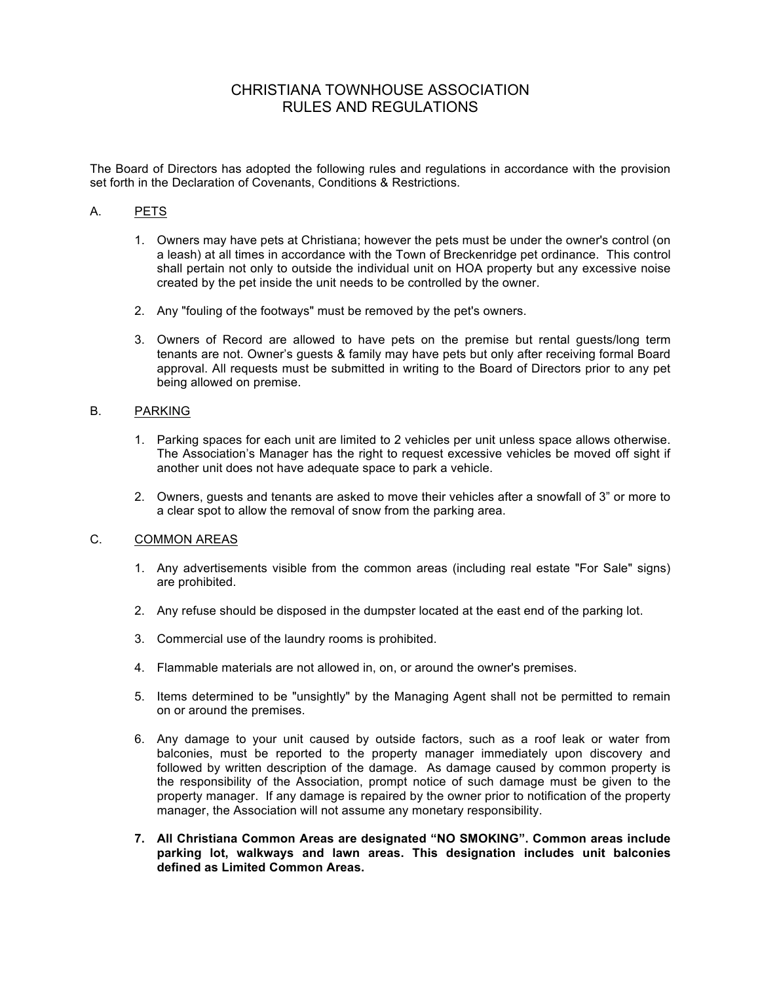# CHRISTIANA TOWNHOUSE ASSOCIATION RULES AND REGULATIONS

The Board of Directors has adopted the following rules and regulations in accordance with the provision set forth in the Declaration of Covenants, Conditions & Restrictions.

# A. PETS

- 1. Owners may have pets at Christiana; however the pets must be under the owner's control (on a leash) at all times in accordance with the Town of Breckenridge pet ordinance. This control shall pertain not only to outside the individual unit on HOA property but any excessive noise created by the pet inside the unit needs to be controlled by the owner.
- 2. Any "fouling of the footways" must be removed by the pet's owners.
- 3. Owners of Record are allowed to have pets on the premise but rental guests/long term tenants are not. Owner's guests & family may have pets but only after receiving formal Board approval. All requests must be submitted in writing to the Board of Directors prior to any pet being allowed on premise.

# B. PARKING

- 1. Parking spaces for each unit are limited to 2 vehicles per unit unless space allows otherwise. The Association's Manager has the right to request excessive vehicles be moved off sight if another unit does not have adequate space to park a vehicle.
- 2. Owners, guests and tenants are asked to move their vehicles after a snowfall of 3" or more to a clear spot to allow the removal of snow from the parking area.

### C. COMMON AREAS

- 1. Any advertisements visible from the common areas (including real estate "For Sale" signs) are prohibited.
- 2. Any refuse should be disposed in the dumpster located at the east end of the parking lot.
- 3. Commercial use of the laundry rooms is prohibited.
- 4. Flammable materials are not allowed in, on, or around the owner's premises.
- 5. Items determined to be "unsightly" by the Managing Agent shall not be permitted to remain on or around the premises.
- 6. Any damage to your unit caused by outside factors, such as a roof leak or water from balconies, must be reported to the property manager immediately upon discovery and followed by written description of the damage. As damage caused by common property is the responsibility of the Association, prompt notice of such damage must be given to the property manager. If any damage is repaired by the owner prior to notification of the property manager, the Association will not assume any monetary responsibility.
- **7. All Christiana Common Areas are designated "NO SMOKING". Common areas include parking lot, walkways and lawn areas. This designation includes unit balconies defined as Limited Common Areas.**